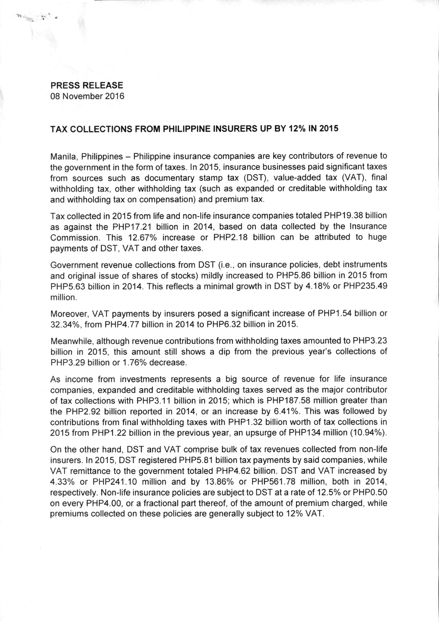## **PRESS RELEASE**

08 November 2016

## **TAX COLLECTIONS FROM PHILIPPINE INSURERS UP BY 12% IN 2015**

Manila, Philippines — Philippine insurance companies are key contributors of revenue to the government in the form of taxes. In 2015, insurance businesses paid significant taxes from sources such as documentary stamp tax (DST), value-added tax (VAT), final withholding tax, other withholding tax (such as expanded or creditable withholding tax and withholding tax on compensation) and premium tax.

Tax collected in 2015 from life and non-life insurance companies totaled PHP19.38 billion as against the PHP17.21 billion in 2014, based on data collected by the Insurance Commission. This 12.67% increase or PHP2.18 billion can be attributed to huge payments of DST, VAT and other taxes.

Government revenue collections from DST (i.e., on insurance policies, debt instruments and original issue of shares of stocks) mildly increased to PHP5.86 billion in 2015 from PHP5.63 billion in 2014. This reflects a minimal growth in DST by 4.18% or PHP235.49 million.

Moreover, VAT payments by insurers posed a significant increase of PHP1.54 billion or 32.34%, from PHP4.77 billion in 2014 to PHP6.32 billion in 2015.

Meanwhile, although revenue contributions from withholding taxes amounted to PHP3.23 billion in 2015, this amount still shows a dip from the previous year's collections of PHP3.29 billion or 1.76% decrease.

As income from investments represents a big source of revenue for life insurance companies, expanded and creditable withholding taxes served as the major contributor of tax collections with PHP3.11 billion in 2015: which is PHP187.58 million greater than the PHP2.92 billion reported in 2014, or an increase by 6.41%. This was followed by contributions from final withholding taxes with PHP1.32 billion worth of tax collections in 2015 from PHP1.22 billion in the previous year, an upsurge of PHP134 million (10.94%).

On the other hand, DST and VAT comprise bulk of tax revenues collected from non-life insurers. In 2015, DST registered PHP5.81 billion tax payments by said companies, while VAT remittance to the government totaled PHP4.62 billion. DST and VAT increased by 4.33% or PHP241.10 million and by 13.86% or PHP561.78 million, both in 2014, respectively. Non-life insurance policies are subject to DST at a rate of 12.5% or PHP0.50 on every PHP4.00, or a fractional part thereof, of the amount of premium charged, while premiums collected on these policies are generally subject to 12% VAT.